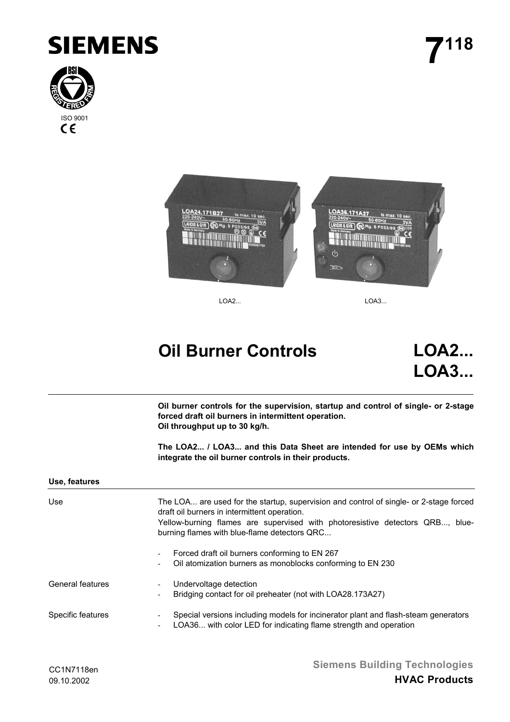

**7118**





LOA2... LOA3...

# **Oil Burner Controls LOA2...**

**LOA3...**

**Oil burner controls for the supervision, startup and control of single- or 2-stage forced draft oil burners in intermittent operation. Oil throughput up to 30 kg/h.**

**The LOA2... / LOA3... and this Data Sheet are intended for use by OEMs which integrate the oil burner controls in their products.**

#### **Use, features**

| Use                     | The LOA are used for the startup, supervision and control of single- or 2-stage forced<br>draft oil burners in intermittent operation.<br>Yellow-burning flames are supervised with photoresistive detectors QRB, blue-<br>burning flames with blue-flame detectors QRC |
|-------------------------|-------------------------------------------------------------------------------------------------------------------------------------------------------------------------------------------------------------------------------------------------------------------------|
|                         | Forced draft oil burners conforming to EN 267<br>$\overline{\phantom{a}}$<br>Oil atomization burners as monoblocks conforming to EN 230<br>-                                                                                                                            |
| <b>General features</b> | Undervoltage detection<br>$\overline{\phantom{a}}$<br>Bridging contact for oil preheater (not with LOA28.173A27)<br>$\overline{\phantom{a}}$                                                                                                                            |
| Specific features       | Special versions including models for incinerator plant and flash-steam generators<br>$\overline{\phantom{a}}$<br>LOA36 with color LED for indicating flame strength and operation<br>$\overline{\phantom{a}}$                                                          |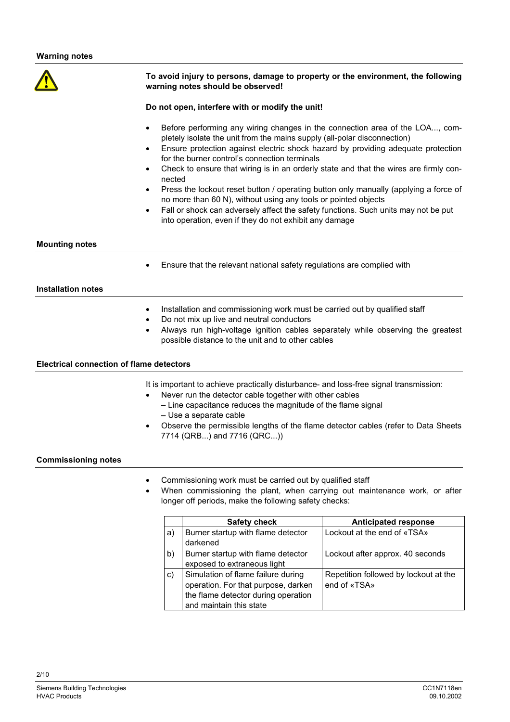# **To avoid injury to persons, damage to property or the environment, the following warning notes should be observed!**

#### **Do not open, interfere with or modify the unit!**

- Before performing any wiring changes in the connection area of the LOA..., completely isolate the unit from the mains supply (all-polar disconnection)
- Ensure protection against electric shock hazard by providing adequate protection for the burner control's connection terminals
- Check to ensure that wiring is in an orderly state and that the wires are firmly connected
- Press the lockout reset button / operating button only manually (applying a force of no more than 60 N), without using any tools or pointed objects
- Fall or shock can adversely affect the safety functions. Such units may not be put into operation, even if they do not exhibit any damage

#### **Mounting notes**

Ensure that the relevant national safety regulations are complied with

### **Installation notes**

- Installation and commissioning work must be carried out by qualified staff
- Do not mix up live and neutral conductors
- Always run high-voltage ignition cables separately while observing the greatest possible distance to the unit and to other cables

### **Electrical connection of flame detectors**

It is important to achieve practically disturbance- and loss-free signal transmission:

- Never run the detector cable together with other cables
	- Line capacitance reduces the magnitude of the flame signal
	- Use a separate cable
- Observe the permissible lengths of the flame detector cables (refer to Data Sheets 7714 (QRB...) and 7716 (QRC...))

#### **Commissioning notes**

- Commissioning work must be carried out by qualified staff
- When commissioning the plant, when carrying out maintenance work, or after longer off periods, make the following safety checks:

|    | <b>Safety check</b>                                                                                                                         | <b>Anticipated response</b>                           |
|----|---------------------------------------------------------------------------------------------------------------------------------------------|-------------------------------------------------------|
| a) | Burner startup with flame detector<br>darkened                                                                                              | Lockout at the end of «TSA»                           |
| b) | Burner startup with flame detector<br>exposed to extraneous light                                                                           | Lockout after approx. 40 seconds                      |
| c) | Simulation of flame failure during<br>operation. For that purpose, darken<br>the flame detector during operation<br>and maintain this state | Repetition followed by lockout at the<br>end of «TSA» |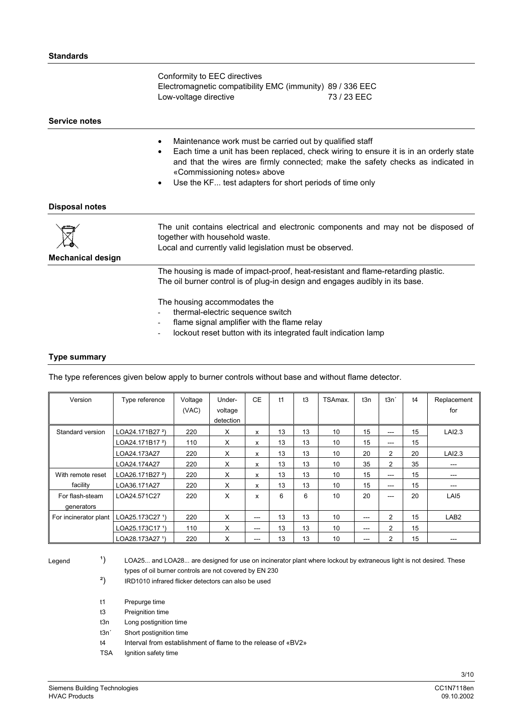Conformity to EEC directives Electromagnetic compatibility EMC (immunity) 89 / 336 EEC Low-voltage directive 73 / 23 EEC

#### **Service notes**

- Maintenance work must be carried out by qualified staff
- Each time a unit has been replaced, check wiring to ensure it is in an orderly state and that the wires are firmly connected; make the safety checks as indicated in «Commissioning notes» above
- Use the KF... test adapters for short periods of time only

#### **Disposal notes**

| $\boxtimes$<br><b>Mechanical design</b> | The unit contains electrical and electronic components and may not be disposed of<br>together with household waste.<br>Local and currently valid legislation must be observed.                   |
|-----------------------------------------|--------------------------------------------------------------------------------------------------------------------------------------------------------------------------------------------------|
|                                         | The housing is made of impact-proof, heat-resistant and flame-retarding plastic.<br>The oil burner control is of plug-in design and engages audibly in its base.<br>The housing assemmedates the |

- The housing accommodates the
- thermal-electric sequence switch
- flame signal amplifier with the flame relay
- lockout reset button with its integrated fault indication lamp

#### **Type summary**

The type references given below apply to burner controls without base and without flame detector.

| Version                       | Type reference              | Voltage<br>(VAC) | Under-<br>voltage | <b>CE</b>              | t1 | t3 | TSAmax.         | t3n   | t3n'           | t4 | Replacement<br>for |
|-------------------------------|-----------------------------|------------------|-------------------|------------------------|----|----|-----------------|-------|----------------|----|--------------------|
|                               |                             |                  | detection         |                        |    |    |                 |       |                |    |                    |
| Standard version              | LOA24.171B27 <sup>2</sup> ) | 220              | X                 | x                      | 13 | 13 | 10 <sup>1</sup> | 15    | ---            | 15 | LAI2.3             |
|                               | LOA24.171B17 <sup>2</sup> ) | 110              | X                 | x                      | 13 | 13 | 10              | 15    | ---            | 15 |                    |
|                               | LOA24.173A27                | 220              | X                 | x                      | 13 | 13 | 10              | 20    | $\overline{2}$ | 20 | LAI2.3             |
|                               | LOA24.174A27                | 220              | X                 | x                      | 13 | 13 | 10 <sup>1</sup> | 35    | $\overline{2}$ | 35 | $---$              |
| With remote reset             | LOA26.171B27 <sup>2</sup> ) | 220              | X                 | x                      | 13 | 13 | 10 <sup>1</sup> | 15    | ---            | 15 | ---                |
| facility                      | LOA36.171A27                | 220              | X                 | x                      | 13 | 13 | 10              | 15    | ---            | 15 | ---                |
| For flash-steam<br>generators | LOA24.571C27                | 220              | X                 | x                      | 6  | 6  | 10              | 20    | ---            | 20 | LAI5               |
| For incinerator plant         | LOA25.173C27 1)             | 220              | X                 | $---$                  | 13 | 13 | 10              | $---$ | $\overline{2}$ | 15 | LAB <sub>2</sub>   |
|                               | LOA25.173C17 1)             | 110              | X                 | $\qquad \qquad \cdots$ | 13 | 13 | 10              | ---   | $\overline{2}$ | 15 |                    |
|                               | LOA28.173A27 1)             | 220              | X                 | $\qquad \qquad -$      | 13 | 13 | 10 <sup>1</sup> | ---   | 2              | 15 | ---                |

Legend

<sup>1</sup>) LOA25... and LOA28... are designed for use on incinerator plant where lockout by extraneous light is not desired. These types of oil burner controls are not covered by EN 230

- <sup>2</sup>) IRD1010 infrared flicker detectors can also be used
- t1 Prepurge time
- t3 Preignition time
- t3n Long postignition time
- t3n´ Short postignition time
- t4 Interval from establishment of flame to the release of «BV2»
- TSA Ignition safety time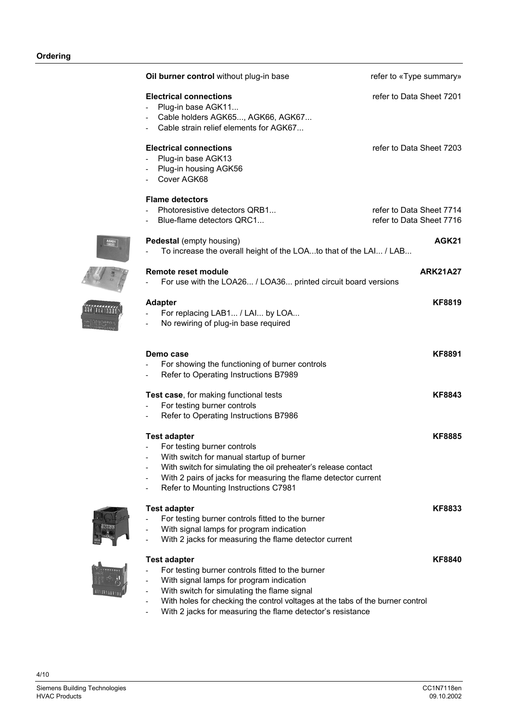| Oil burner control without plug-in base                                                                                                                                                                                                                                    | refer to «Type summary»                              |
|----------------------------------------------------------------------------------------------------------------------------------------------------------------------------------------------------------------------------------------------------------------------------|------------------------------------------------------|
| <b>Electrical connections</b><br>Plug-in base AGK11<br>Cable holders AGK65, AGK66, AGK67<br>Cable strain relief elements for AGK67                                                                                                                                         | refer to Data Sheet 7201                             |
| <b>Electrical connections</b><br>Plug-in base AGK13<br>Plug-in housing AGK56<br>Cover AGK68                                                                                                                                                                                | refer to Data Sheet 7203                             |
| <b>Flame detectors</b><br>Photoresistive detectors QRB1<br>Blue-flame detectors QRC1                                                                                                                                                                                       | refer to Data Sheet 7714<br>refer to Data Sheet 7716 |
| Pedestal (empty housing)<br>To increase the overall height of the LOAto that of the LAI / LAB                                                                                                                                                                              | AGK21                                                |
| Remote reset module<br>For use with the LOA26 / LOA36 printed circuit board versions                                                                                                                                                                                       | <b>ARK21A27</b>                                      |
| <b>Adapter</b><br>For replacing LAB1 / LAI by LOA<br>No rewiring of plug-in base required                                                                                                                                                                                  | <b>KF8819</b>                                        |
| Demo case<br>For showing the functioning of burner controls<br>Refer to Operating Instructions B7989                                                                                                                                                                       | <b>KF8891</b>                                        |
| Test case, for making functional tests<br>For testing burner controls<br>Refer to Operating Instructions B7986                                                                                                                                                             | <b>KF8843</b>                                        |
| <b>Test adapter</b><br>For testing burner controls<br>With switch for manual startup of burner<br>With switch for simulating the oil preheater's release contact<br>With 2 pairs of jacks for measuring the flame detector current<br>Refer to Mounting Instructions C7981 | <b>KF8885</b>                                        |
| <b>Test adapter</b><br>For testing burner controls fitted to the burner<br>With signal lamps for program indication<br>With 2 jacks for measuring the flame detector current                                                                                               | <b>KF8833</b>                                        |
| <b>Test adapter</b><br>For testing burner controls fitted to the burner<br>With signal lamps for program indication<br>With switch for simulating the flame signal<br>With holes for checking the control voltages at the tabs of the burner control                       | <b>KF8840</b>                                        |

- With 2 jacks for measuring the flame detector's resistance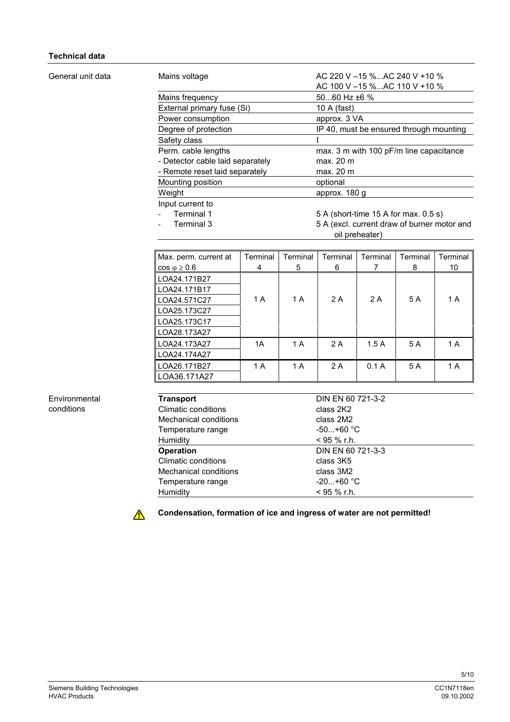# **Technical data**

#### General unit data

| Mains voltage                    | AC 220 V $-15$ %AC 240 V +10 %              |
|----------------------------------|---------------------------------------------|
|                                  | AC 100 V -15 %AC 110 V +10 %                |
| Mains frequency                  | $5060$ Hz $±6$ %                            |
| External primary fuse (Si)       | 10 A (fast)                                 |
| Power consumption                | approx. 3 VA                                |
| Degree of protection             | IP 40, must be ensured through mounting     |
| Safety class                     |                                             |
| Perm. cable lengths              | max. 3 m with 100 pF/m line capacitance     |
| - Detector cable laid separately | max. 20 m                                   |
| - Remote reset laid separately   | max. 20 m                                   |
| Mounting position                | optional                                    |
| Weight                           | approx. 180 g                               |
| Input current to                 |                                             |
| Terminal 1                       | 5 A (short-time 15 A for max. 0.5 s)        |
| Terminal 3                       | 5 A (excl. current draw of burner motor and |

oil preheater)

| Max. perm. current at   | Terminal | Terminal | Terminal | Terminal | Terminal | Terminal |
|-------------------------|----------|----------|----------|----------|----------|----------|
| $\cos \varphi \geq 0.6$ | 4        | 5        | 6        |          | 8        | 10       |
| LOA24.171B27            |          |          |          |          |          |          |
| LOA24.171B17            |          |          |          |          |          |          |
| LOA24.571C27            | 1 A      | 1 A      | 2 A      | 2 A      | 5 A      | 1 A      |
| LOA25.173C27            |          |          |          |          |          |          |
| LOA25.173C17            |          |          |          |          |          |          |
| LOA28.173A27            |          |          |          |          |          |          |
| LOA24.173A27            | 1A       | 1 A      | 2 A      | 1.5A     | 5 A      | 1 A      |
| LOA24.174A27            |          |          |          |          |          |          |
| LOA26.171B27            | 1 A      | 1 A      | 2 A      | 0.1A     | 5 A      | 1 A      |
| LOA36.171A27            |          |          |          |          |          |          |

Environmental conditions

| <b>Transport</b>      | DIN EN 60 721-3-2 |  |
|-----------------------|-------------------|--|
| Climatic conditions   | class 2K2         |  |
| Mechanical conditions | class 2M2         |  |
| Temperature range     | $-50+60$ °C.      |  |
| Humidity              | $<$ 95 % r.h.     |  |
| <b>Operation</b>      | DIN EN 60 721-3-3 |  |
| Climatic conditions   | class 3K5         |  |
| Mechanical conditions | class 3M2         |  |
| Temperature range     | $-20+60 °C$       |  |
| Humidity              | $<$ 95 % r.h.     |  |
|                       |                   |  |



**Condensation, formation of ice and ingress of water are not permitted!**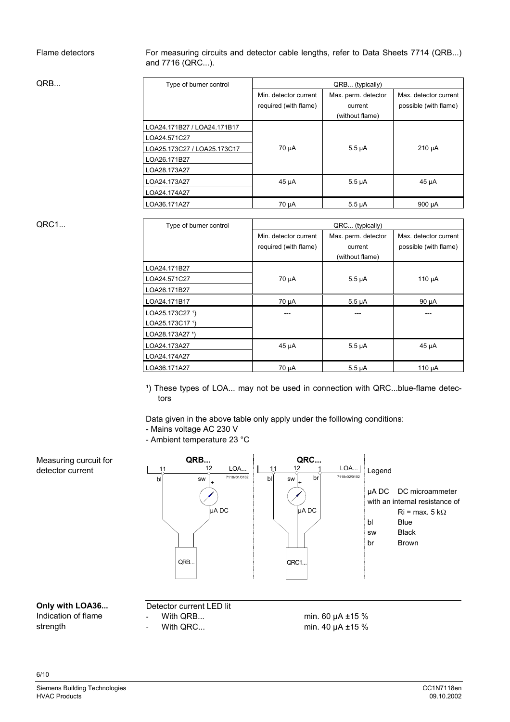# Flame detectors

For measuring circuits and detector cable lengths, refer to Data Sheets 7714 (QRB...) and 7716 (QRC...).

QRB...

| Type of burner control      | QRB (typically)       |                     |                       |  |  |
|-----------------------------|-----------------------|---------------------|-----------------------|--|--|
|                             | Min. detector current | Max. perm. detector | Max. detector current |  |  |
|                             | required (with flame) | current             | possible (with flame) |  |  |
|                             |                       | (without flame)     |                       |  |  |
| LOA24.171B27 / LOA24.171B17 |                       |                     |                       |  |  |
| LOA24.571C27                |                       |                     |                       |  |  |
| LOA25.173C27 / LOA25.173C17 | 70 µA                 | $5.5 \mu A$         | $210 \mu A$           |  |  |
| LOA26.171B27                |                       |                     |                       |  |  |
| LOA28.173A27                |                       |                     |                       |  |  |
| LOA24.173A27                | 45 µA                 | $5.5 \mu A$         | 45 µA                 |  |  |
| LOA24.174A27                |                       |                     |                       |  |  |
| LOA36.171A27                | 70 µA                 | $5.5 \mu A$         | 900 µA                |  |  |

# QRC1...

| Type of burner control | QRC (typically)       |                     |                       |  |  |
|------------------------|-----------------------|---------------------|-----------------------|--|--|
|                        | Min. detector current | Max. perm. detector | Max. detector current |  |  |
|                        | required (with flame) | current             | possible (with flame) |  |  |
|                        |                       | (without flame)     |                       |  |  |
| LOA24.171B27           |                       |                     |                       |  |  |
| LOA24.571C27           | 70 µA                 | $5.5 \mu A$         | 110 µA                |  |  |
| LOA26.171B27           |                       |                     |                       |  |  |
| LOA24.171B17           | 70 µA                 | $5.5 \mu A$         | 90 µA                 |  |  |
| LOA25.173C27 1)        |                       |                     |                       |  |  |
| LOA25.173C17 1)        |                       |                     |                       |  |  |
| LOA28.173A27 1)        |                       |                     |                       |  |  |
| LOA24.173A27           | $45 \mu A$            | $5.5 \mu A$         | 45 µA                 |  |  |
| LOA24.174A27           |                       |                     |                       |  |  |
| LOA36.171A27           | 70 µA                 | $5.5 \mu A$         | 110 µA                |  |  |

<sup>1</sup>) These types of LOA... may not be used in connection with QRC...blue-flame detectors

Data given in the above table only apply under the folllowing conditions:

- Mains voltage AC 230 V

- Ambient temperature 23 °C



# **Only with LOA36...**

Measuring curcuit for detector current

Indication of flame strength

6/10

- Detector current LED lit
- With QRB...
- With QRC...

min. 60 µA ±15 % min. 40 µA ±15 %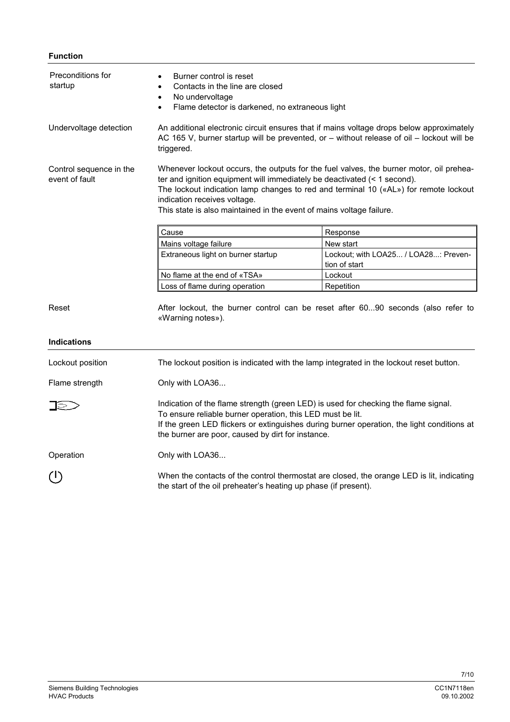# **Function**

| Preconditions for<br>startup              | Burner control is reset<br>Contacts in the line are closed<br>$\bullet$<br>No undervoltage<br>$\bullet$<br>Flame detector is darkened, no extraneous light<br>$\bullet$                                                                                                                                                                                             |                                                       |  |  |  |
|-------------------------------------------|---------------------------------------------------------------------------------------------------------------------------------------------------------------------------------------------------------------------------------------------------------------------------------------------------------------------------------------------------------------------|-------------------------------------------------------|--|--|--|
| Undervoltage detection                    | An additional electronic circuit ensures that if mains voltage drops below approximately<br>AC 165 V, burner startup will be prevented, or – without release of oil – lockout will be<br>triggered.                                                                                                                                                                 |                                                       |  |  |  |
| Control sequence in the<br>event of fault | Whenever lockout occurs, the outputs for the fuel valves, the burner motor, oil prehea-<br>ter and ignition equipment will immediately be deactivated (< 1 second).<br>The lockout indication lamp changes to red and terminal 10 («AL») for remote lockout<br>indication receives voltage.<br>This state is also maintained in the event of mains voltage failure. |                                                       |  |  |  |
|                                           | Cause                                                                                                                                                                                                                                                                                                                                                               | Response                                              |  |  |  |
|                                           | Mains voltage failure                                                                                                                                                                                                                                                                                                                                               | New start                                             |  |  |  |
|                                           | Extraneous light on burner startup                                                                                                                                                                                                                                                                                                                                  | Lockout; with LOA25 / LOA28: Preven-<br>tion of start |  |  |  |
|                                           | No flame at the end of «TSA»                                                                                                                                                                                                                                                                                                                                        | Lockout                                               |  |  |  |
|                                           | Loss of flame during operation                                                                                                                                                                                                                                                                                                                                      | Repetition                                            |  |  |  |
| Reset                                     | After lockout, the burner control can be reset after 6090 seconds (also refer to<br>«Warning notes»).                                                                                                                                                                                                                                                               |                                                       |  |  |  |
| <b>Indications</b>                        |                                                                                                                                                                                                                                                                                                                                                                     |                                                       |  |  |  |
| Lockout position                          | The lockout position is indicated with the lamp integrated in the lockout reset button.                                                                                                                                                                                                                                                                             |                                                       |  |  |  |
| Flame strength                            | Only with LOA36                                                                                                                                                                                                                                                                                                                                                     |                                                       |  |  |  |
| _  DI                                     | Indication of the flame strength (green LED) is used for checking the flame signal.<br>To ensure reliable burner operation, this LED must be lit.<br>If the green LED flickers or extinguishes during burner operation, the light conditions at<br>the burner are poor, caused by dirt for instance.                                                                |                                                       |  |  |  |
| Operation                                 | Only with LOA36                                                                                                                                                                                                                                                                                                                                                     |                                                       |  |  |  |
| $\left(\mathsf{I}\right)$                 | When the contacts of the control thermostat are closed, the orange LED is lit, indicating<br>the start of the oil preheater's heating up phase (if present).                                                                                                                                                                                                        |                                                       |  |  |  |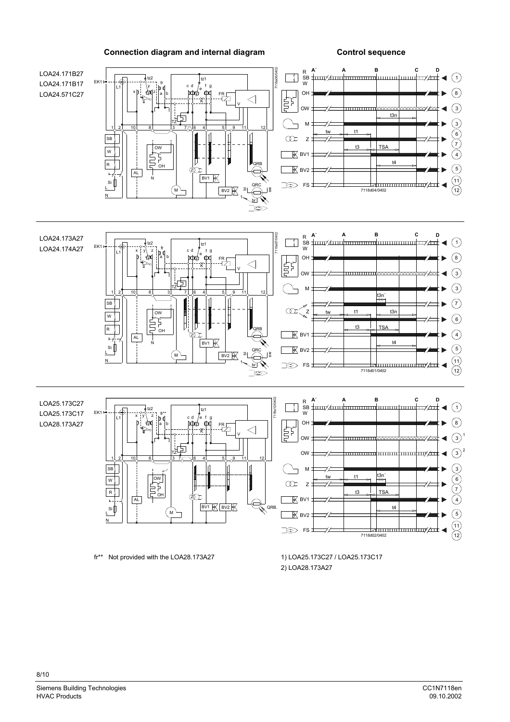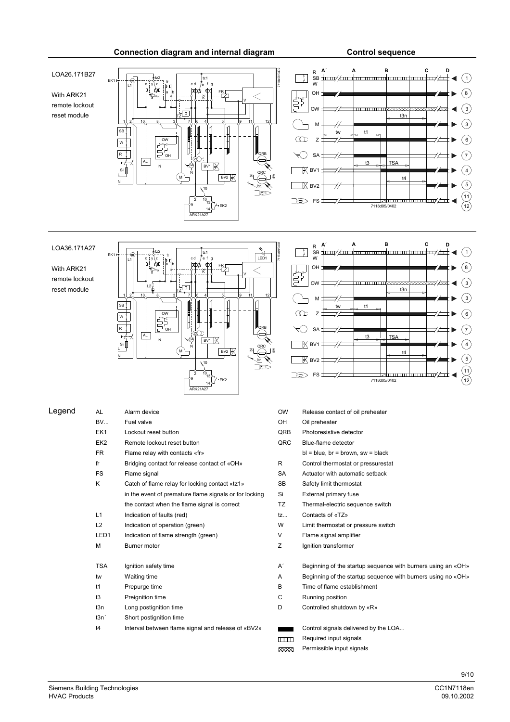#### 7118a08/0402 **A´ AB C D** LOA26.171B27 R SB W  $\Omega$  $\mathbf{L}$  $t\bar{z}$ EK1 tz2 fr x y∖z ¦a i cd /e fg c d /e L1 With ARK21 FR OH  $\binom{8}{ }$ a b 宁 K V remote lockout OW  $\binom{3}{ }$ <u>TITTI TITTI</u>  $\propto$   $\propto$ xxxx ╗ reset module t3n TZ 1 2 10 8 3 7 6 4 5 9 11 12 M  $\left($ 3 Ξ  $t1$ SB  $\infty$ Z  $\binom{6}{}$ ь OW W  $\left(7\right)$ SA R QRB D ь OH AL Z t3 TSA BV1 SA  $\sin$ N  $\overline{\mathbb{R}}$  BV1  $\binom{4}{4}$ N QRC  $BV2$ L t4  $^{\prime}$  M a sw ┑  $\binom{5}{ }$ N  $\overline{\mathbb{R}}$  BV2 Г  $br$  $\chi$ 10 k  $\odot$  $^{10}_{10}_{13}$  $\Rightarrow$ FS lahuunudunuduu/411 ◀  $\widetilde{\mathcal{C}}$  $E<sub>FK2</sub>$ 7118d05 9 14 ARK21A27 7118a09/0402 **A´ AB C D** LOA36.171A27 R SB W  $\bigcap$  $\mathbf{I}$  $\frac{1}{2}$ tz2 EK1 \_\_o\_<del>t</del>tzz<br>x jy∖z i<sub>h d</sub> l cd /efg l LED1 fr c d L1 ΥA  $\odot$ a b **FR<sub>L</sub>** OH With ARK21 uț Ŷ ⊲ K V remote lockout 3) OW reset module  $L2$ t3n TZ  $\overline{3}$ 1 2 10 8 3 7 1 6 4 5 9 11 12 M SB tw t1  $\widehat{\mathbf{6}})$ OW

Connection diagram and internal diagram **CONSC CONTROL** Control sequence



| Legend | AL               | Alarm device                                           | <b>OW</b>      | Release contact of oil preheater                             |
|--------|------------------|--------------------------------------------------------|----------------|--------------------------------------------------------------|
|        | <b>BV</b>        | Fuel valve                                             | <b>OH</b>      | Oil preheater                                                |
|        | EK1              | Lockout reset button                                   | QRB            | Photoresistive detector                                      |
|        | EK <sub>2</sub>  | Remote lockout reset button                            | QRC            | Blue-flame detector                                          |
|        | <b>FR</b>        | Flame relay with contacts «fr»                         |                | $bl = blue$ , $br = brown$ , $sw = black$                    |
|        | fr               | Bridging contact for release contact of «OH»           | R              | Control thermostat or pressurestat                           |
|        | <b>FS</b>        | Flame signal                                           | <b>SA</b>      | Actuator with automatic setback                              |
|        | Κ                | Catch of flame relay for locking contact «tz1»         | <b>SB</b>      | Safety limit thermostat                                      |
|        |                  | in the event of premature flame signals or for locking | Si             | External primary fuse                                        |
|        |                  | the contact when the flame signal is correct           | <b>TZ</b>      | Thermal-electric sequence switch                             |
|        | L1               | Indication of faults (red)                             | tz             | Contacts of «TZ»                                             |
|        | L2               | Indication of operation (green)                        | W              | Limit thermostat or pressure switch                          |
|        | LED <sub>1</sub> | Indication of flame strength (green)                   | V              | Flame signal amplifier                                       |
|        | М                | Burner motor                                           | Z              | Ignition transformer                                         |
|        | <b>TSA</b>       | Ignition safety time                                   | A′             | Beginning of the startup sequence with burners using an «OH» |
|        | tw               | Waiting time                                           | Α              | Beginning of the startup sequence with burners using no «OH» |
|        | t1               | Prepurge time                                          | В              | Time of flame establishment                                  |
|        | t3               | Preignition time                                       | С              | Running position                                             |
|        | t3n              | Long postignition time                                 | D              | Controlled shutdown by «R»                                   |
|        | t3n'             | Short postignition time                                |                |                                                              |
|        | t4               | Interval between flame signal and release of «BV2»     |                | Control signals delivered by the LOA                         |
|        |                  |                                                        | <u> TITTIN</u> | Required input signals                                       |

| t3n<br>3<br>М<br>t1<br>tw<br>$6^{\circ}$<br>$\overline{z}$<br>SA <sub>-</sub><br>t3<br><b>TSA</b><br>BV1<br>4 <sup>1</sup><br>t4<br>-<br>5 <sup>2</sup><br>咲<br>BV2 | ⊨<br>OW: |  |  | क्ष्य्य्य्व्य्क्ष्य्व∕ स्व्यं | $\binom{3}{}$                 |
|---------------------------------------------------------------------------------------------------------------------------------------------------------------------|----------|--|--|-------------------------------|-------------------------------|
|                                                                                                                                                                     |          |  |  |                               |                               |
|                                                                                                                                                                     |          |  |  |                               |                               |
|                                                                                                                                                                     |          |  |  |                               | 7)                            |
|                                                                                                                                                                     |          |  |  |                               |                               |
|                                                                                                                                                                     |          |  |  |                               |                               |
| $\neg$ / $\neg$<br>FS <sub>1</sub><br>5><br>7118d05/0402<br>12 <sub>1</sub>                                                                                         |          |  |  |                               | $\left( \frac{11}{2} \right)$ |

| <b>OW</b> | Release contact of oil preheater                           |  |  |  |  |
|-----------|------------------------------------------------------------|--|--|--|--|
| OН        | Oil preheater                                              |  |  |  |  |
| QRB       | Photoresistive detector                                    |  |  |  |  |
| QRC       | Blue-flame detector                                        |  |  |  |  |
|           | $bl = blue$ , $br = brown$ , $sw = black$                  |  |  |  |  |
| R         | Control thermostat or pressurestat                         |  |  |  |  |
| <b>SA</b> | Actuator with automatic setback                            |  |  |  |  |
| <b>SB</b> | Safety limit thermostat                                    |  |  |  |  |
| Si        | External primary fuse                                      |  |  |  |  |
| <b>TZ</b> | Thermal-electric sequence switch                           |  |  |  |  |
| tz        | Contacts of «TZ»                                           |  |  |  |  |
| W         | Limit thermostat or pressure switch                        |  |  |  |  |
| V         | Flame signal amplifier                                     |  |  |  |  |
| Z         | Ignition transformer                                       |  |  |  |  |
| A'        | Beginning of the startup sequence with burners using an «C |  |  |  |  |
| Α         | Beginning of the startup sequence with burners using no «C |  |  |  |  |
| в         | Time of flame establishment                                |  |  |  |  |
| С         | Running position                                           |  |  |  |  |
| D         | Controlled shutdown by «R»                                 |  |  |  |  |
|           | Control signals delivered by the LOA                       |  |  |  |  |
| $\Box$    | Required input signals                                     |  |  |  |  |
| XXXX      | Permissible input signals                                  |  |  |  |  |